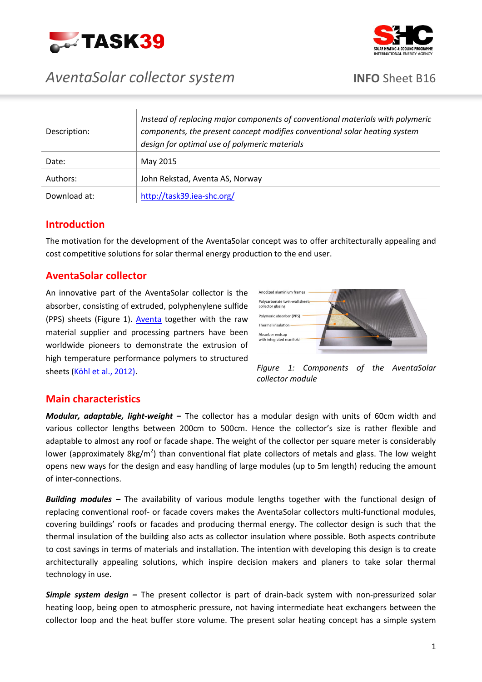



# *AventaSolar collector system* **INFO** Sheet B16

| Description: | Instead of replacing major components of conventional materials with polymeric<br>components, the present concept modifies conventional solar heating system<br>design for optimal use of polymeric materials |
|--------------|---------------------------------------------------------------------------------------------------------------------------------------------------------------------------------------------------------------|
| Date:        | May 2015                                                                                                                                                                                                      |
| Authors:     | John Rekstad, Aventa AS, Norway                                                                                                                                                                               |
| Download at: | http://task39.iea-shc.org/                                                                                                                                                                                    |

### **Introduction**

The motivation for the development of the AventaSolar concept was to offer architecturally appealing and cost competitive solutions for solar thermal energy production to the end user.

## **AventaSolar collector**

An innovative part of the AventaSolar collector is the absorber, consisting of extruded, polyphenylene sulfide (PPS) sheets (Figure 1). [Aventa](http://www.aventa.no/) together with the raw material supplier and processing partners have been worldwide pioneers to demonstrate the extrusion of high temperature performance polymers to structured sheets [\(Köhl et al., 2012\).](http://eu.wiley.com/WileyCDA/WileyTitle/productCd-3527332464.html)





### **Main characteristics**

*Modular, adaptable, light-weight* **–** The collector has a modular design with units of 60cm width and various collector lengths between 200cm to 500cm. Hence the collector's size is rather flexible and adaptable to almost any roof or facade shape. The weight of the collector per square meter is considerably lower (approximately 8kg/m<sup>2</sup>) than conventional flat plate collectors of metals and glass. The low weight opens new ways for the design and easy handling of large modules (up to 5m length) reducing the amount of inter-connections.

*Building modules –* The availability of various module lengths together with the functional design of replacing conventional roof- or facade covers makes the AventaSolar collectors multi-functional modules, covering buildings' roofs or facades and producing thermal energy. The collector design is such that the thermal insulation of the building also acts as collector insulation where possible. Both aspects contribute to cost savings in terms of materials and installation. The intention with developing this design is to create architecturally appealing solutions, which inspire decision makers and planers to take solar thermal technology in use.

*Simple system design –* The present collector is part of drain-back system with non-pressurized solar heating loop, being open to atmospheric pressure, not having intermediate heat exchangers between the collector loop and the heat buffer store volume. The present solar heating concept has a simple system